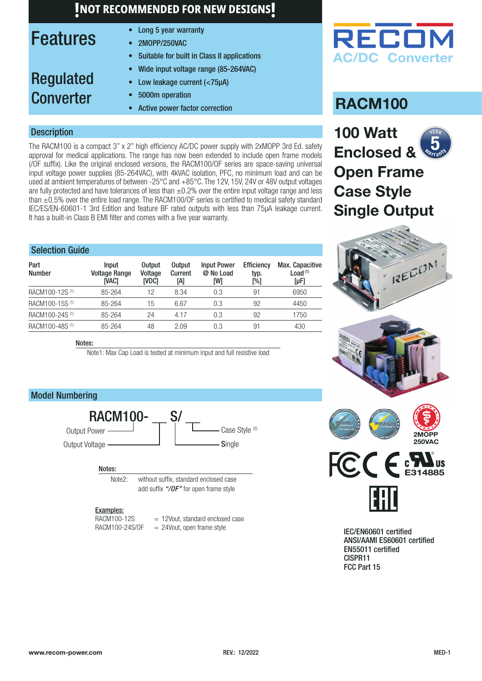### Features

Regulated

**Converter** 

- Long 5 year warranty
- 2MOPP/250VAC
- Suitable for built in Class II applications
- Wide input voltage range (85-264VAC)
- Low leakage current (<75µA)
- 5000m operation
	- Active power factor correction

### **Description**

The RACM100 is a compact 3" x 2" high efficiency AC/DC power supply with 2xMOPP 3rd Ed. safety approval for medical applications. The range has now been extended to include open frame models (/OF suffix). Like the original enclosed versions, the RACM100/OF series are space-saving universal input voltage power supplies (85-264VAC), with 4kVAC isolation, PFC, no minimum load and can be used at ambient temperatures of between -25°C and +85°C. The 12V, 15V, 24V or 48V output voltages are fully protected and have tolerances of less than  $\pm 0.2$ % over the entire input voltage range and less than ±0.5% over the entire load range. The RACM100/OF series is certified to medical safety standard IEC/ES/EN-60601-1 3rd Edition and feature BF rated outputs with less than 75µA leakage current. It has a built-in Class B EMI filter and comes with a five year warranty.

| <b>Selection Guide</b>     |                                               |                                   |                                 |                                        |                                  |                                            |
|----------------------------|-----------------------------------------------|-----------------------------------|---------------------------------|----------------------------------------|----------------------------------|--------------------------------------------|
| Part<br><b>Number</b>      | <b>Input</b><br><b>Voltage Range</b><br>[VAC] | <b>Output</b><br>Voltage<br>IVDC1 | <b>Output</b><br>Current<br>[A] | <b>Input Power</b><br>@ No Load<br>[W] | <b>Efficiency</b><br>typ.<br>[%] | Max. Capacitive<br>Load $(1)$<br>$[\mu F]$ |
| RACM100-12S <sup>(1)</sup> | 85-264                                        | 12                                | 8.34                            | 0.3                                    | 91                               | 6950                                       |
| RACM100-15S <sup>(1)</sup> | 85-264                                        | 15                                | 6.67                            | 0.3                                    | 92                               | 4450                                       |
| RACM100-24S <sup>(1)</sup> | 85-264                                        | 24                                | 4.17                            | 0.3                                    | 92                               | 1750                                       |
| RACM100-48S <sup>(1)</sup> | 85-264                                        | 48                                | 2.09                            | 0.3                                    | 91                               | 430                                        |

Notes:

Note1: Max Cap Load is tested at minimum input and full resistive load

### Model Numbering



#### Notes:

Note2: without suffix, standard enclosed case add suffix *["/OF"](#page-6-0)* for open frame style

#### Examples:

 $RACM100-12S$  = 12Vout, standard enclosed case<br> $RACM100-24S/OF$  = 24Vout, open frame style  $= 24$ Vout, open frame style



### **RACM100**

**100 Watt Enclosed & Open Frame Case Style Single Output NEAR** Warrant  $5<sub>^\circ</sub>$ </sub>



IEC/EN60601 certified ANSI/AAMI ES60601 certified EN55011 certified CISPR11 FCC Part 15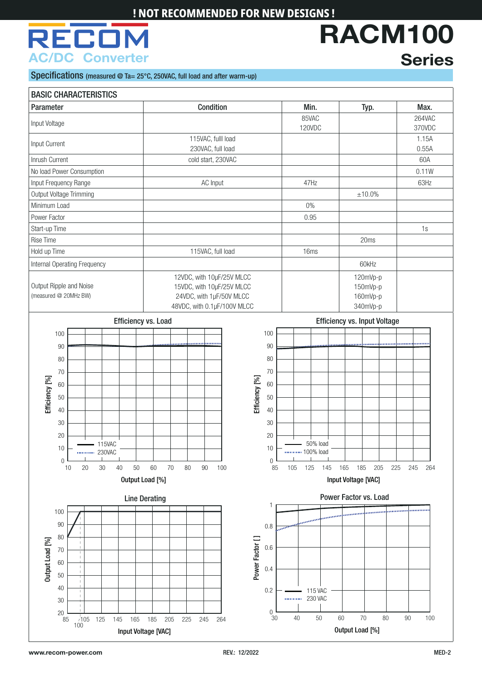# RECI **AC/DC Converter**

# **RACM100 Series**

Specifications (measured @ Ta= 25°C, 250VAC, full load and after warm-up)

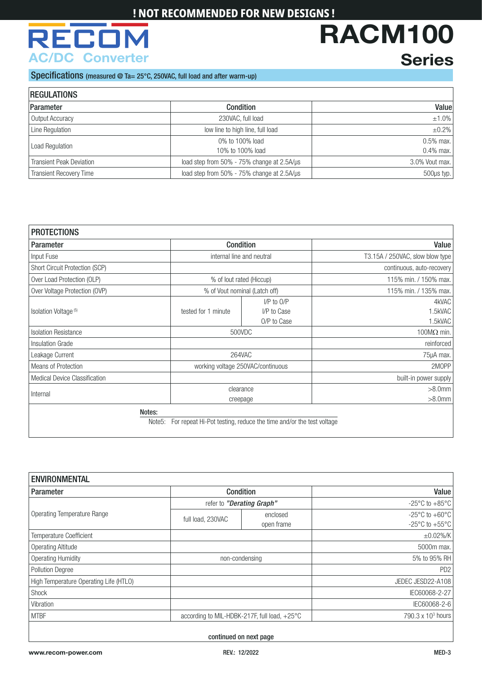# **REC AC/DC Converter**

### **Series**

**RACM100**

#### Specifications (measured @ Ta= 25°C, 250VAC, full load and after warm-up)

| <b>REGULATIONS</b>              |                                            |                 |
|---------------------------------|--------------------------------------------|-----------------|
| Parameter                       | <b>Condition</b>                           | Value           |
| Output Accuracy                 | 230VAC, full load                          | $±1.0\%$        |
| Line Regulation                 | low line to high line, full load           | $\pm 0.2\%$     |
| Load Regulation                 | 0% to 100% load                            | $0.5\%$ max.    |
|                                 | 10% to 100% load                           | $0.4\%$ max.    |
| <b>Transient Peak Deviation</b> | load step from 50% - 75% change at 2.5A/µs | 3.0% Vout max.  |
| <b>Transient Recovery Time</b>  | load step from 50% - 75% change at 2.5A/µs | $500\mu s$ typ. |

| <b>PROTECTIONS</b>                   |                               |                                                                    |                                 |
|--------------------------------------|-------------------------------|--------------------------------------------------------------------|---------------------------------|
| Parameter                            | Condition                     |                                                                    | Value                           |
| Input Fuse                           | internal line and neutral     |                                                                    | T3.15A / 250VAC, slow blow type |
| Short Circuit Protection (SCP)       |                               |                                                                    | continuous, auto-recovery       |
| Over Load Protection (OLP)           | % of lout rated (Hiccup)      |                                                                    | 115% min. / 150% max.           |
| Over Voltage Protection (OVP)        |                               | % of Vout nominal (Latch off)                                      | 115% min. / 135% max.           |
| Isolation Voltage <sup>(5)</sup>     | tested for 1 minute           | $I/P$ to $O/P$<br>I/P to Case<br>O/P to Case                       | 4kVAC<br>1.5kVAC<br>1.5kVAC     |
| <b>Isolation Resistance</b>          |                               | 500VDC                                                             | 100 $M\Omega$ min.              |
| Insulation Grade                     |                               |                                                                    | reinforced                      |
| Leakage Current                      |                               | 264VAC                                                             | 75µA max.                       |
| Means of Protection                  |                               | working voltage 250VAC/continuous                                  | 2MOPP                           |
| <b>Medical Device Classification</b> |                               |                                                                    | built-in power supply           |
| clearance<br>Internal<br>creepage    |                               | $>8.0$ mm<br>$>8.0$ mm                                             |                                 |
|                                      | Notes:<br>Note <sub>5</sub> : | For repeat Hi-Pot testing, reduce the time and/or the test voltage |                                 |

| <b>ENVIRONMENTAL</b>                   |                                                        |                        |                                                                          |  |
|----------------------------------------|--------------------------------------------------------|------------------------|--------------------------------------------------------------------------|--|
| Parameter                              | <b>Condition</b>                                       |                        | Value                                                                    |  |
|                                        | refer to "Derating Graph"                              |                        | $-25^{\circ}$ C to $+85^{\circ}$ C                                       |  |
| <b>Operating Temperature Range</b>     | full load, 230VAC                                      | enclosed<br>open frame | -25 $\degree$ C to +60 $\degree$ C<br>-25 $\degree$ C to +55 $\degree$ C |  |
| Temperature Coefficient                |                                                        |                        | $±0.02\%$ /K                                                             |  |
| <b>Operating Altitude</b>              |                                                        |                        | 5000m max.                                                               |  |
| <b>Operating Humidity</b>              | non-condensing                                         |                        | 5% to 95% RH                                                             |  |
| <b>Pollution Degree</b>                |                                                        |                        | PD <sub>2</sub>                                                          |  |
| High Temperature Operating Life (HTLO) |                                                        |                        | JEDEC JESD22-A108                                                        |  |
| Shock                                  |                                                        |                        | IEC60068-2-27                                                            |  |
| Vibration                              |                                                        |                        | IEC60068-2-6                                                             |  |
| <b>MTBF</b>                            | according to MIL-HDBK-217F, full load, $+25^{\circ}$ C |                        | 790.3 x 10 <sup>3</sup> hours                                            |  |

continued on next page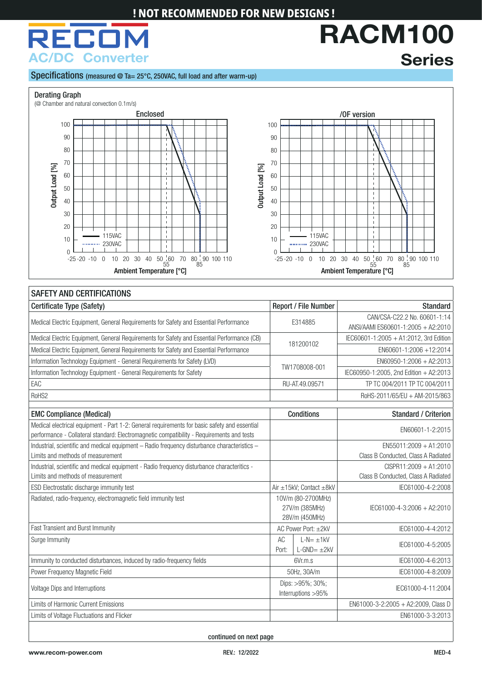# RECO **AC/DC Converter**

**Series**

**RACM100**

#### Specifications (measured @ Ta= 25°C, 250VAC, full load and after warm-up)

#### <span id="page-3-0"></span>Derating Graph





#### SAFETY AND CERTIFICATIONS Certificate Type (Safety) **Report / File Number Standard** Report / File Number Standard Medical Electric Equipment, General Requirements for Safety and Essential Performance E314885 CAN/CSA-C22.2 No. 60601-1:14 ANSI/AAMI ES60601-1:2005 + A2:2010 Medical Electric Equipment, General Requirements for Safety and Essential Performance (CB)<br>Medical Electric Equipment, General Requirements for Safety and Essential Performance 181200102 EN60601-1:2005 + A1:2012, 3rd Editi Medical Electric Equipment, General Requirements for Safety and Essential Performance Information Technology Equipment - General Requirements for Safety (LVD) TW1708008-001 EN60950-1:2006 + A2:2013 Information Technology Equipment - General Requirements for Safety Information Technology Equipment - General Requirements for Safety Information 1999-1:2005, 2nd Edition + A2:2013 EAC RU-AT.49.09571 TP TC 004/2011 TP TC 004/2011 RoHS2 RoHS-2011/65/EU + AM-2015/863 EMC Compliance (Medical) Conditions Standard / Criterion Medical electrical equipment - Part 1-2: General requirements for basic safety and essential neurtal electrical equipment - Part 1-2. General requirements for basic sarety and essential<br>performance - Collateral standard: Electromagnetic compatibility - Requirements and tests electromagnetic compatibility - Require Industrial, scientific and medical equipment – Radio frequency disturbance characteristics – Limits and methods of measurement EN55011:2009 + A1:2010 Class B Conducted, Class A Radiated Industrial, scientific and medical equipment - Radio frequency disturbance characteritics - Limits and methods of measurement CISPR11:2009 + A1:2010 Class B Conducted, Class A Radiated ESD Electrostatic discharge immunity test Air  $\frac{1}{2}$  Air  $\pm$ 15kV; Contact  $\pm$ 8kV IEC61000-4-2:2008 Radiated, radio-frequency, electromagnetic field immunity test 10V/m (80-2700MHz) 27V/m (385MHz) 28V/m (450MHz) IEC61000-4-3:2006 + A2:2010 Fast Transient and Burst Immunity **AC Power Port: ±2kV IEC61000-4-4:2012** CRUP ISLAMING TRANSIER AC POWER Port: ±2kV Surge Immunity AC Port:  $I - N = +1kV$  $L-N = \pm 1KV$ <br> $L-GND = \pm 2kV$  IEC61000-4-5:2005 Immunity to conducted disturbances, induced by radio-frequency fields 6Vr.m.s 6Vr.m.s IEC61000-4-6:2013 Power Frequency Magnetic Field **50Hz, 30A/m** IEC61000-4-8:2009 IEC61000-4-8:2009 Voltage Dips and Interruptions Dips: >95%; 30%; Dips: >95%; 50%;<br>Interruptions >95% Interruptions >95% Limits of Harmonic Current Emissions **EN61000-3-2:2005 + A2:2009, Class D** EN61000-3-2:2005 + A2:2009, Class D Limits of Voltage Fluctuations and Flicker ENGLOUSE ENGLOUSE AND THE SERVICE OF THE SERVICE OF THE SERVICE OF THE SERVICE OF THE SERVICE OF THE SERVICE OF THE SERVICE OF THE SERVICE OF THE SERVICE OF THE SERVICE OF THE SER

continued on next page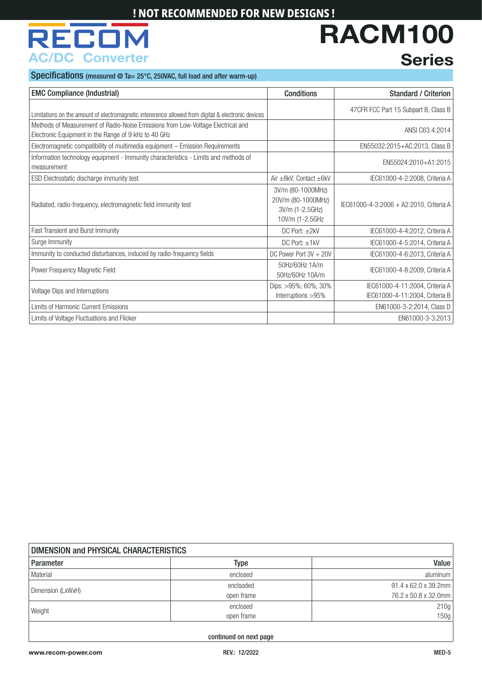# REC **AC/DC Converter**

# **Series**

**RACM100**

Specifications (measured @ Ta= 25°C, 250VAC, full load and after warm-up)

| <b>EMC Compliance (Industrial)</b>                                                                                                      | <b>Conditions</b>                                                              | <b>Standard / Criterion</b>                                      |
|-----------------------------------------------------------------------------------------------------------------------------------------|--------------------------------------------------------------------------------|------------------------------------------------------------------|
| Limitations on the amount of electromagnetic intererence allowed from digital & electronic devices                                      |                                                                                | 47 CFR FCC Part 15 Subpart B, Class B                            |
| Methods of Measurement of Radio-Noise Emissions from Low-Voltage Electrical and<br>Electronic Equipment in the Range of 9 kHz to 40 GHz |                                                                                | ANSI C63.4:2014                                                  |
| Electromagnetic compatibility of multimedia equipment - Emission Requirements                                                           |                                                                                | EN55032:2015+AC:2013, Class B                                    |
| Information technology equipment - Immunity characteristics - Limits and methods of<br>measurement                                      |                                                                                | EN55024:2010+A1:2015                                             |
| ESD Electrostatic discharge immunity test                                                                                               | Air $\pm$ 8kV; Contact $\pm$ 6kV                                               | IEC61000-4-2:2008, Criteria A                                    |
| Radiated, radio-frequency, electromagnetic field immunity test                                                                          | 3V/m (80-1000MHz)<br>20V/m (80-1000MHz)<br>3V/m (1-2.5GHz)<br>10V/m (1-2.5GHz) | IEC61000-4-3:2006 + A2:2010, Criteria A                          |
| Fast Transient and Burst Immunity                                                                                                       | DC Port: $\pm 2kV$                                                             | IEC61000-4-4:2012, Criteria A                                    |
| Surge Immunity                                                                                                                          | $DC$ Port: $±1kV$                                                              | IEC61000-4-5:2014, Criteria A                                    |
| Immunity to conducted disturbances, induced by radio-frequency fields                                                                   | DC Power Port 3V + 20V                                                         | IEC61000-4-6:2013, Criteria A                                    |
| Power Frequency Magnetic Field                                                                                                          | 50Hz/60Hz 1A/m<br>50Hz/60Hz 10A/m                                              | IEC61000-4-8:2009, Criteria A                                    |
| Voltage Dips and Interruptions                                                                                                          | Dips: >95%; 60%; 30%<br>Interruptions >95%                                     | IEC61000-4-11:2004, Criteria A<br>IEC61000-4-11:2004, Criteria B |
| Limits of Harmonic Current Emissions                                                                                                    |                                                                                | EN61000-3-2:2014, Class D                                        |
| Limits of Voltage Fluctuations and Flicker                                                                                              |                                                                                | EN61000-3-3:2013                                                 |

| DIMENSION and PHYSICAL CHARACTERISTICS |            |                      |  |
|----------------------------------------|------------|----------------------|--|
| Parameter                              | Type       | Value                |  |
| Material                               | enclosed   | aluminum             |  |
| Dimension (LxWxH)                      | enclsoded  | 91.4 x 62.0 x 39.2mm |  |
|                                        | open frame | 76.2 x 50.8 x 32.0mm |  |
| Weight                                 | enclosed   | 210g                 |  |
|                                        | open frame | 150g                 |  |
|                                        |            |                      |  |

continued on next page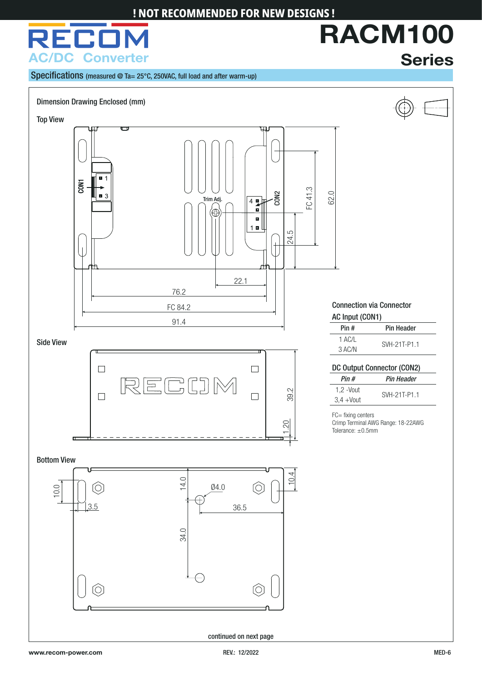

**Series**

**RACM100**

Specifications (measured @ Ta= 25°C, 250VAC, full load and after warm-up)